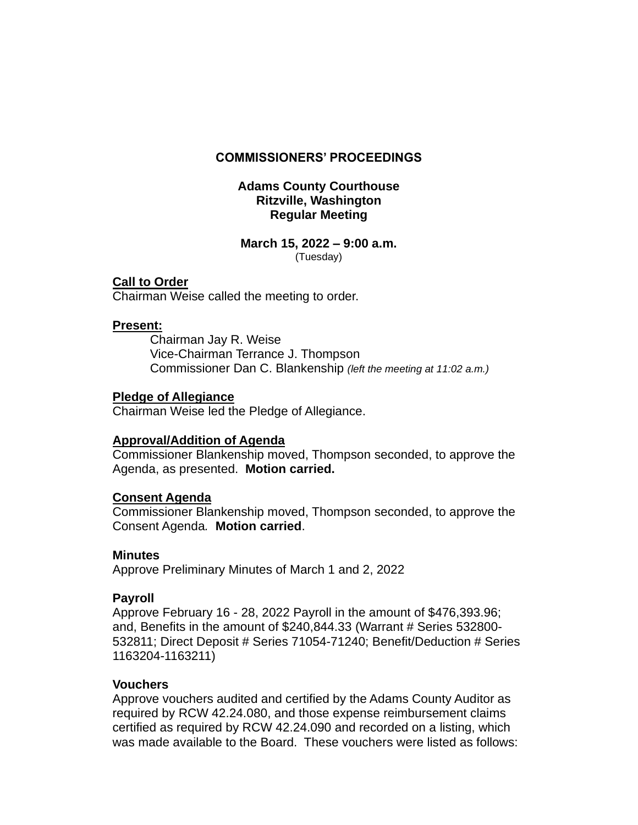### **COMMISSIONERS' PROCEEDINGS**

### **Adams County Courthouse Ritzville, Washington Regular Meeting**

#### **March 15, 2022 – 9:00 a.m.** (Tuesday)

### **Call to Order**

Chairman Weise called the meeting to order.

### **Present:**

Chairman Jay R. Weise Vice-Chairman Terrance J. Thompson Commissioner Dan C. Blankenship *(left the meeting at 11:02 a.m.)*

#### **Pledge of Allegiance**

Chairman Weise led the Pledge of Allegiance.

## **Approval/Addition of Agenda**

Commissioner Blankenship moved, Thompson seconded, to approve the Agenda, as presented. **Motion carried.**

## **Consent Agenda**

Commissioner Blankenship moved, Thompson seconded, to approve the Consent Agenda*.* **Motion carried**.

#### **Minutes**

Approve Preliminary Minutes of March 1 and 2, 2022

## **Payroll**

Approve February 16 - 28, 2022 Payroll in the amount of \$476,393.96; and, Benefits in the amount of \$240,844.33 (Warrant # Series 532800- 532811; Direct Deposit # Series 71054-71240; Benefit/Deduction # Series 1163204-1163211)

#### **Vouchers**

Approve vouchers audited and certified by the Adams County Auditor as required by RCW 42.24.080, and those expense reimbursement claims certified as required by RCW 42.24.090 and recorded on a listing, which was made available to the Board. These vouchers were listed as follows: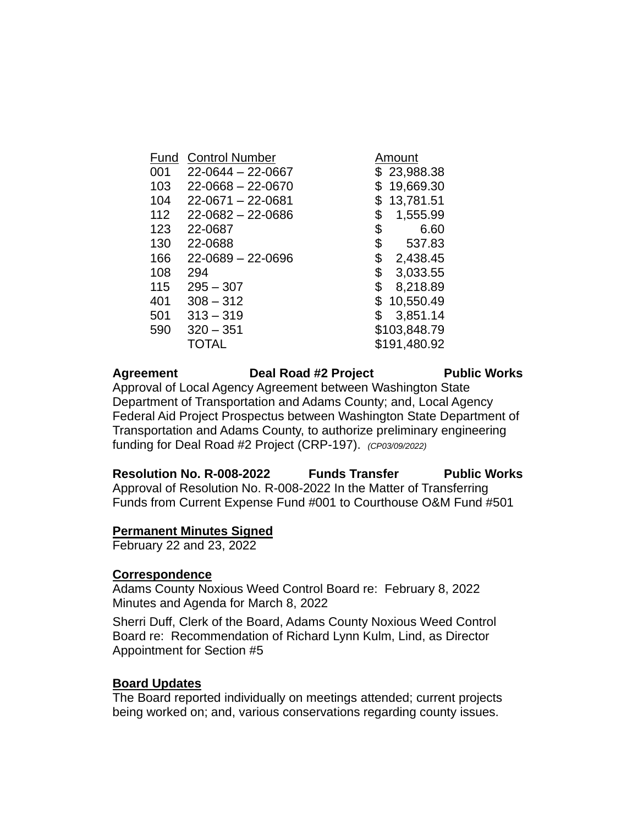| Fund | <b>Control Number</b>   | Amount          |
|------|-------------------------|-----------------|
| 001  | $22 - 0644 - 22 - 0667$ | \$23,988.38     |
| 103  | $22 - 0668 - 22 - 0670$ | 19,669.30<br>\$ |
| 104  | 22-0671 - 22-0681       | 13,781.51       |
| 112  | $22 - 0682 - 22 - 0686$ | \$<br>1,555.99  |
| 123  | 22-0687                 | 6.60<br>\$      |
| 130  | 22-0688                 | \$<br>537.83    |
| 166  | $22 - 0689 - 22 - 0696$ | \$<br>2,438.45  |
| 108  | 294                     | \$<br>3,033.55  |
| 115  | $295 - 307$             | \$<br>8,218.89  |
| 401  | $308 - 312$             | 10,550.49<br>\$ |
| 501  | $313 - 319$             | \$<br>3,851.14  |
| 590  | $320 - 351$             | \$103,848.79    |
|      | TOTAL                   | \$191,480.92    |
|      |                         |                 |

### Agreement Deal Road #2 Project Public Works Approval of Local Agency Agreement between Washington State Department of Transportation and Adams County; and, Local Agency Federal Aid Project Prospectus between Washington State Department of Transportation and Adams County, to authorize preliminary engineering funding for Deal Road #2 Project (CRP-197). *(CP03/09/2022)*

**Resolution No. R-008-2022 Funds Transfer Public Works** Approval of Resolution No. R-008-2022 In the Matter of Transferring Funds from Current Expense Fund #001 to Courthouse O&M Fund #501

## **Permanent Minutes Signed**

February 22 and 23, 2022

#### **Correspondence**

Adams County Noxious Weed Control Board re: February 8, 2022 Minutes and Agenda for March 8, 2022

Sherri Duff, Clerk of the Board, Adams County Noxious Weed Control Board re: Recommendation of Richard Lynn Kulm, Lind, as Director Appointment for Section #5

#### **Board Updates**

The Board reported individually on meetings attended; current projects being worked on; and, various conservations regarding county issues.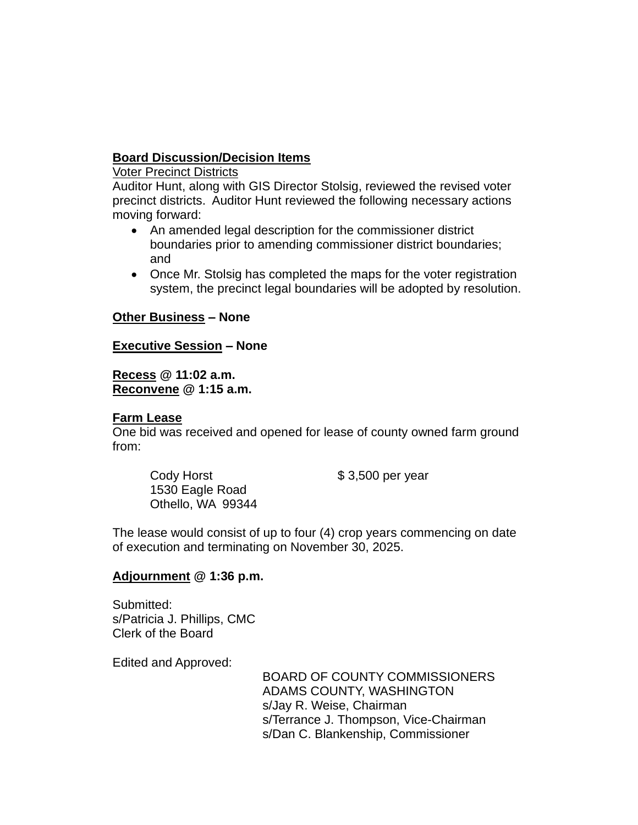# **Board Discussion/Decision Items**

Voter Precinct Districts

Auditor Hunt, along with GIS Director Stolsig, reviewed the revised voter precinct districts. Auditor Hunt reviewed the following necessary actions moving forward:

- An amended legal description for the commissioner district boundaries prior to amending commissioner district boundaries; and
- Once Mr. Stolsig has completed the maps for the voter registration system, the precinct legal boundaries will be adopted by resolution.

## **Other Business – None**

## **Executive Session – None**

**Recess @ 11:02 a.m. Reconvene @ 1:15 a.m.**

## **Farm Lease**

One bid was received and opened for lease of county owned farm ground from:

Cody Horst  $$3,500$  per year 1530 Eagle Road Othello, WA 99344

The lease would consist of up to four (4) crop years commencing on date of execution and terminating on November 30, 2025.

## **Adjournment @ 1:36 p.m.**

Submitted: s/Patricia J. Phillips, CMC Clerk of the Board

Edited and Approved:

BOARD OF COUNTY COMMISSIONERS ADAMS COUNTY, WASHINGTON s/Jay R. Weise, Chairman s/Terrance J. Thompson, Vice-Chairman s/Dan C. Blankenship, Commissioner